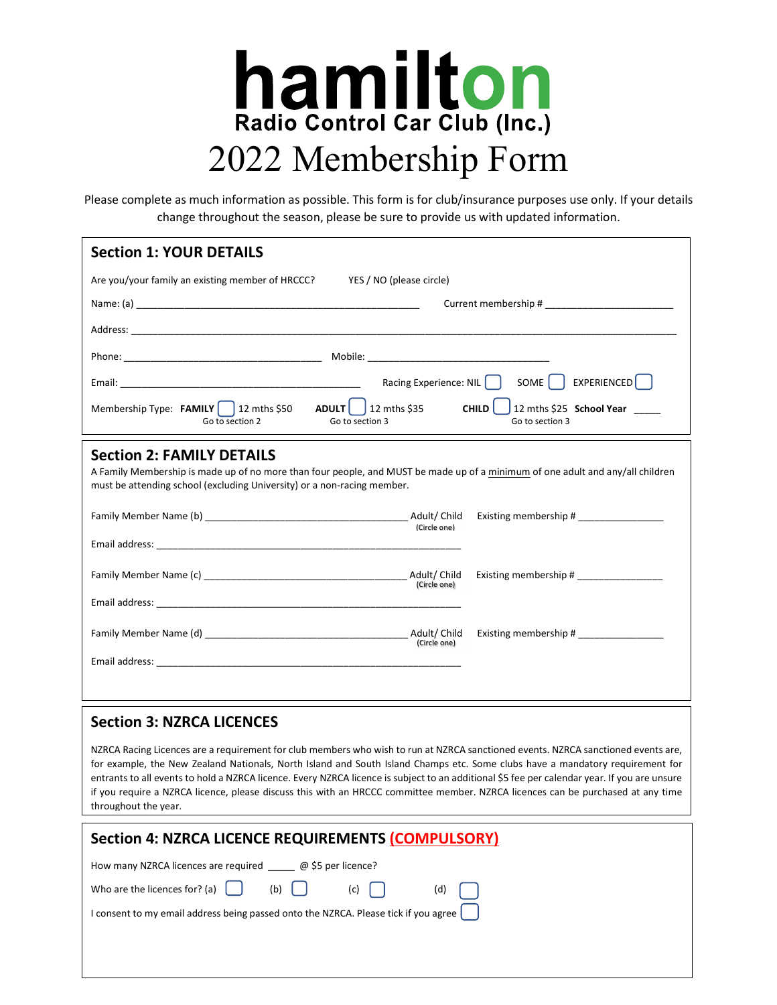

Please complete as much information as possible. This form is for club/insurance purposes use only. If your details change throughout the season, please be sure to provide us with updated information.

| <b>Section 1: YOUR DETAILS</b>                                                                                                                                                                                                                                                                                                                                                                                                                                                                                                                                                |  |
|-------------------------------------------------------------------------------------------------------------------------------------------------------------------------------------------------------------------------------------------------------------------------------------------------------------------------------------------------------------------------------------------------------------------------------------------------------------------------------------------------------------------------------------------------------------------------------|--|
| Are you/your family an existing member of HRCCC?<br>YES / NO (please circle)                                                                                                                                                                                                                                                                                                                                                                                                                                                                                                  |  |
|                                                                                                                                                                                                                                                                                                                                                                                                                                                                                                                                                                               |  |
|                                                                                                                                                                                                                                                                                                                                                                                                                                                                                                                                                                               |  |
|                                                                                                                                                                                                                                                                                                                                                                                                                                                                                                                                                                               |  |
| EXPERIENCED <sup>[</sup> ]<br>Racing Experience: NIL  <br>SOME                                                                                                                                                                                                                                                                                                                                                                                                                                                                                                                |  |
| ADULT  <br>$\frac{1}{2}$ 12 mths \$35<br>CHILD<br>12 mths \$25 School Year<br>Membership Type: FAMILY $\vert$ 12 mths \$50<br>Go to section 3<br>Go to section 3<br>Go to section 2                                                                                                                                                                                                                                                                                                                                                                                           |  |
| <b>Section 2: FAMILY DETAILS</b><br>A Family Membership is made up of no more than four people, and MUST be made up of a minimum of one adult and any/all children<br>must be attending school (excluding University) or a non-racing member.                                                                                                                                                                                                                                                                                                                                 |  |
| Existing membership # ________________<br>(Circle one)                                                                                                                                                                                                                                                                                                                                                                                                                                                                                                                        |  |
|                                                                                                                                                                                                                                                                                                                                                                                                                                                                                                                                                                               |  |
| Existing membership #<br>(Circle one)                                                                                                                                                                                                                                                                                                                                                                                                                                                                                                                                         |  |
|                                                                                                                                                                                                                                                                                                                                                                                                                                                                                                                                                                               |  |
| Existing membership # ________________<br>(Circle one)                                                                                                                                                                                                                                                                                                                                                                                                                                                                                                                        |  |
|                                                                                                                                                                                                                                                                                                                                                                                                                                                                                                                                                                               |  |
|                                                                                                                                                                                                                                                                                                                                                                                                                                                                                                                                                                               |  |
| <b>Section 3: NZRCA LICENCES</b>                                                                                                                                                                                                                                                                                                                                                                                                                                                                                                                                              |  |
| NZRCA Racing Licences are a requirement for club members who wish to run at NZRCA sanctioned events. NZRCA sanctioned events are,<br>for example, the New Zealand Nationals, North Island and South Island Champs etc. Some clubs have a mandatory requirement for<br>entrants to all events to hold a NZRCA licence. Every NZRCA licence is subject to an additional \$5 fee per calendar year. If you are unsure<br>if you require a NZRCA licence, please discuss this with an HRCCC committee member. NZRCA licences can be purchased at any time<br>throughout the year. |  |
| Section 4: NZRCA LICENCE REQUIREMENTS (COMPULSORY)                                                                                                                                                                                                                                                                                                                                                                                                                                                                                                                            |  |
| How many NZRCA licences are required @ \$5 per licence?                                                                                                                                                                                                                                                                                                                                                                                                                                                                                                                       |  |
| Who are the licences for? (a)<br>(b)<br>(c)<br>(d)                                                                                                                                                                                                                                                                                                                                                                                                                                                                                                                            |  |
| I consent to my email address being passed onto the NZRCA. Please tick if you agree                                                                                                                                                                                                                                                                                                                                                                                                                                                                                           |  |
|                                                                                                                                                                                                                                                                                                                                                                                                                                                                                                                                                                               |  |